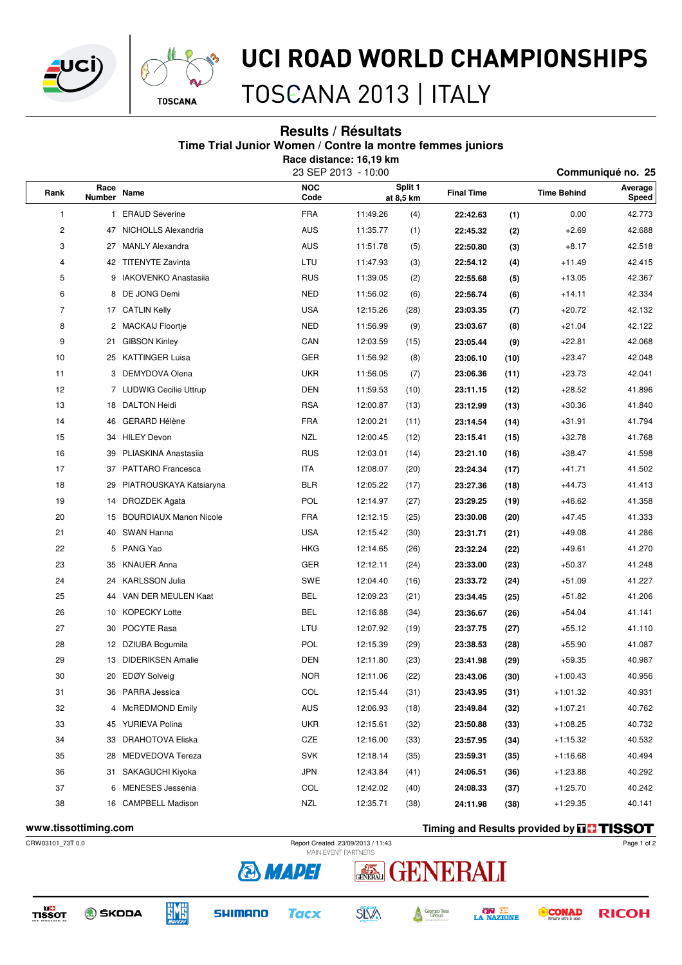



### UCI ROAD WORLD CHAMPIONSHIPS

TOSCANA 2013 | ITALY

#### **Results / Résultats Time Trial Junior Women / Contre la montre femmes juniors Race distance: 16,19 km**

|           |                       |                               | 23 SEP 2013 - 10:00 | Communiqué no. 25 |                      |                   |                    |            |                  |  |
|-----------|-----------------------|-------------------------------|---------------------|-------------------|----------------------|-------------------|--------------------|------------|------------------|--|
| Rank<br>1 | Race<br><b>Number</b> | Name                          | <b>NOC</b><br>Code  |                   | Split 1<br>at 8,5 km | <b>Final Time</b> | <b>Time Behind</b> |            | Average<br>Speed |  |
|           |                       | 1 ERAUD Severine              | <b>FRA</b>          | 11:49.26          | (4)                  | 22:42.63          | (1)                | 0.00       | 42.773           |  |
| 2         |                       | 47 NICHOLLS Alexandria        | <b>AUS</b>          | 11:35.77          | (1)                  | 22:45.32          | (2)                | $+2.69$    | 42.688           |  |
| 3         | 27                    | <b>MANLY Alexandra</b>        | <b>AUS</b>          | 11:51.78          | (5)                  | 22:50.80          | (3)                | $+8.17$    | 42.518           |  |
| 4         |                       | 42 TITENYTE Zavinta           | LTU                 | 11:47.93          | (3)                  | 22:54.12          | (4)                | $+11.49$   | 42.415           |  |
| 5         | 9                     | <b>IAKOVENKO Anastasiia</b>   | <b>RUS</b>          | 11:39.05          | (2)                  | 22:55.68          | (5)                | $+13.05$   | 42.367           |  |
| 6         |                       | 8 DE JONG Demi                | <b>NED</b>          | 11:56.02          | (6)                  | 22:56.74          | (6)                | $+14.11$   | 42.334           |  |
| 7         |                       | 17 CATLIN Kelly               | <b>USA</b>          | 12:15.26          | (28)                 | 23:03.35          | (7)                | $+20.72$   | 42.132           |  |
| 8         |                       | 2 MACKAIJ Floortje            | <b>NED</b>          | 11:56.99          | (9)                  | 23:03.67          | (8)                | $+21.04$   | 42.122           |  |
| 9         | 21                    | <b>GIBSON Kinley</b>          | CAN                 | 12:03.59          | (15)                 | 23:05.44          | (9)                | $+22.81$   | 42.068           |  |
| 10        | 25                    | <b>KATTINGER Luisa</b>        | GER                 | 11:56.92          | (8)                  | 23:06.10          | (10)               | $+23.47$   | 42.048           |  |
| 11        |                       | 3 DEMYDOVA Olena              | <b>UKR</b>          | 11:56.05          | (7)                  | 23:06.36          | (11)               | $+23.73$   | 42.041           |  |
| 12        |                       | 7 LUDWIG Cecilie Uttrup       | <b>DEN</b>          | 11:59.53          | (10)                 | 23:11.15          | (12)               | $+28.52$   | 41.896           |  |
| 13        |                       | 18 DALTON Heidi               | <b>RSA</b>          | 12:00.87          | (13)                 | 23:12.99          | (13)               | $+30.36$   | 41.840           |  |
| 14        | 46                    | <b>GERARD Hélène</b>          | <b>FRA</b>          | 12:00.21          | (11)                 | 23:14.54          | (14)               | $+31.91$   | 41.794           |  |
| 15        | 34                    | <b>HILEY Devon</b>            | <b>NZL</b>          | 12:00.45          | (12)                 | 23:15.41          | (15)               | $+32.78$   | 41.768           |  |
| 16        | 39                    | PLIASKINA Anastasiia          | <b>RUS</b>          | 12:03.01          | (14)                 | 23:21.10          | (16)               | $+38.47$   | 41.598           |  |
| 17        | 37                    | <b>PATTARO</b> Francesca      | <b>ITA</b>          | 12:08.07          | (20)                 | 23:24.34          | (17)               | $+41.71$   | 41.502           |  |
| 18        | 29                    | PIATROUSKAYA Katsiaryna       | <b>BLR</b>          | 12:05.22          | (17)                 | 23:27.36          | (18)               | $+44.73$   | 41.413           |  |
| 19        | 14                    | <b>DROZDEK Agata</b>          | <b>POL</b>          | 12:14.97          | (27)                 | 23:29.25          | (19)               | $+46.62$   | 41.358           |  |
| 20        | 15                    | <b>BOURDIAUX Manon Nicole</b> | <b>FRA</b>          | 12:12.15          | (25)                 | 23:30.08          | (20)               | $+47.45$   | 41.333           |  |
| 21        | 40                    | SWAN Hanna                    | <b>USA</b>          | 12:15.42          | (30)                 | 23:31.71          | (21)               | $+49.08$   | 41.286           |  |
| 22        | 5                     | PANG Yao                      | <b>HKG</b>          | 12:14.65          | (26)                 | 23:32.24          | (22)               | $+49.61$   | 41.270           |  |
| 23        | 35                    | <b>KNAUER Anna</b>            | GER                 | 12:12.11          | (24)                 | 23:33.00          | (23)               | $+50.37$   | 41.248           |  |
| 24        | 24                    | <b>KARLSSON Julia</b>         | <b>SWE</b>          | 12:04.40          | (16)                 | 23:33.72          | (24)               | $+51.09$   | 41.227           |  |
| 25        | 44                    | VAN DER MEULEN Kaat           | <b>BEL</b>          | 12:09.23          | (21)                 | 23:34.45          | (25)               | $+51.82$   | 41.206           |  |
| 26        | 10                    | <b>KOPECKY Lotte</b>          | <b>BEL</b>          | 12:16.88          | (34)                 | 23:36.67          | (26)               | $+54.04$   | 41.141           |  |
| 27        | 30                    | POCYTE Rasa                   | LTU                 | 12:07.92          | (19)                 | 23:37.75          | (27)               | $+55.12$   | 41.110           |  |
| 28        | 12                    | DZIUBA Bogumila               | <b>POL</b>          | 12:15.39          | (29)                 | 23:38.53          | (28)               | $+55.90$   | 41.087           |  |
| 29        | 13                    | <b>DIDERIKSEN Amalie</b>      | <b>DEN</b>          | 12:11.80          | (23)                 | 23:41.98          | (29)               | $+59.35$   | 40.987           |  |
| 30        |                       | 20 EDØY Solveig               | <b>NOR</b>          | 12:11.06          | (22)                 | 23:43.06          | (30)               | $+1:00.43$ | 40.956           |  |
| 31        |                       | 36 PARRA Jessica              | COL                 | 12:15.44          | (31)                 | 23:43.95          | (31)               | $+1:01.32$ | 40.931           |  |
| 32        |                       | 4 McREDMOND Emily             | <b>AUS</b>          | 12:06.93          | (18)                 | 23:49.84          | (32)               | $+1:07.21$ | 40.762           |  |
| 33        |                       | 45 YURIEVA Polina             | <b>UKR</b>          | 12:15.61          | (32)                 | 23:50.88          | (33)               | $+1:08.25$ | 40.732           |  |
| 34        |                       | 33 DRAHOTOVA Eliska           | CZE                 | 12:16.00          | (33)                 | 23:57.95          | (34)               | $+1:15.32$ | 40.532           |  |
| 35        | 28                    | MEDVEDOVA Tereza              | SVK                 | 12:18.14          | (35)                 | 23:59.31          | (35)               | $+1:16.68$ | 40.494           |  |
| 36        |                       | 31 SAKAGUCHI Kiyoka           | <b>JPN</b>          | 12:43.84          | (41)                 | 24:06.51          | (36)               | $+1:23.88$ | 40.292           |  |
| 37        | 6                     | MENESES Jessenia              | COL                 | 12:42.02          | (40)                 | 24:08.33          | (37)               | $+1:25.70$ | 40.242           |  |
| 38        |                       | 16 CAMPBELL Madison           | NZL                 | 12:35.71          | (38)                 | 24:11.98          | (38)               | $+1:29.35$ | 40.141           |  |
|           |                       |                               |                     |                   |                      |                   |                    |            |                  |  |

**WWW.tissottiming.com Timing and Results provided by THSSOT** 



A

TISSOT



**SHIMANO Tacx** 

**& MAPEI** 



**ON LE**<br>LA NAZIONE Giorgio Tesi<br>Group

**CONAD RICOH** 

Page 1 of 2